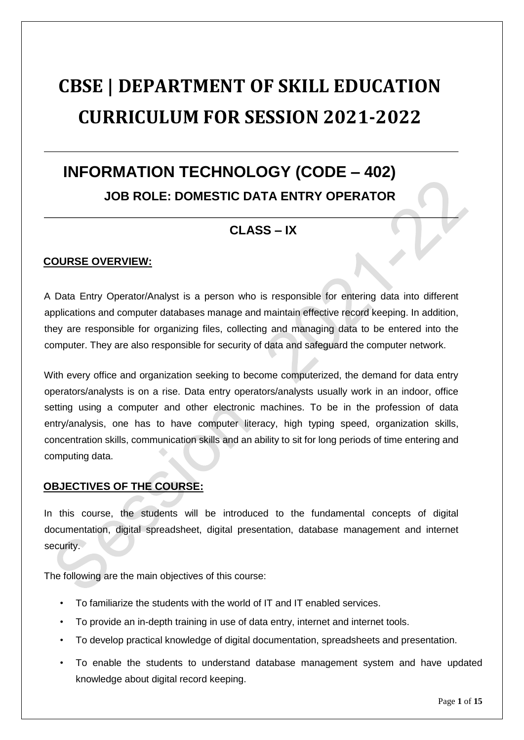# **CBSE | DEPARTMENT OF SKILL EDUCATION CURRICULUM FOR SESSION 2021-2022**

## **INFORMATION TECHNOLOGY (CODE – 402) JOB ROLE: DOMESTIC DATA ENTRY OPERATOR**

### **CLASS – IX**

### **COURSE OVERVIEW:**

A Data Entry Operator/Analyst is a person who is responsible for entering data into different applications and computer databases manage and maintain effective record keeping. In addition, they are responsible for organizing files, collecting and managing data to be entered into the computer. They are also responsible for security of data and safeguard the computer network.

With every office and organization seeking to become computerized, the demand for data entry operators/analysts is on a rise. Data entry operators/analysts usually work in an indoor, office setting using a computer and other electronic machines. To be in the profession of data entry/analysis, one has to have computer literacy, high typing speed, organization skills, concentration skills, communication skills and an ability to sit for long periods of time entering and computing data.

### **OBJECTIVES OF THE COURSE:**

In this course, the students will be introduced to the fundamental concepts of digital documentation, digital spreadsheet, digital presentation, database management and internet security.

The following are the main objectives of this course:

- To familiarize the students with the world of IT and IT enabled services.
- To provide an in-depth training in use of data entry, internet and internet tools.
- To develop practical knowledge of digital documentation, spreadsheets and presentation.
- To enable the students to understand database management system and have updated knowledge about digital record keeping.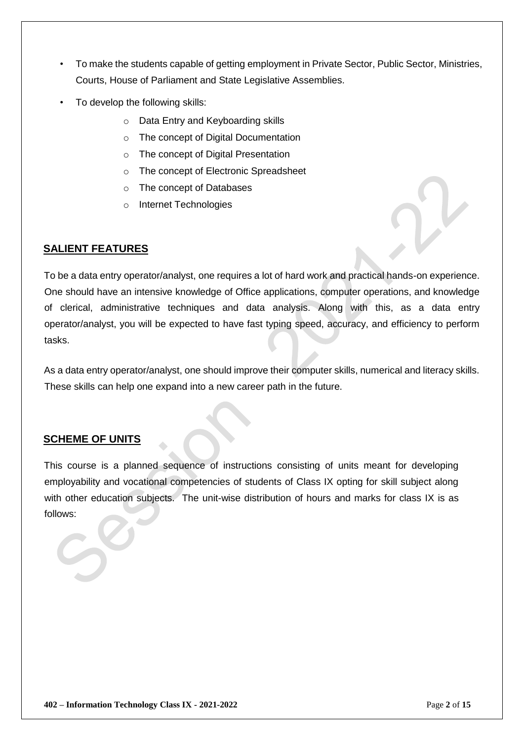- To make the students capable of getting employment in Private Sector, Public Sector, Ministries, Courts, House of Parliament and State Legislative Assemblies.
- To develop the following skills:
	- o Data Entry and Keyboarding skills
	- o The concept of Digital Documentation
	- o The concept of Digital Presentation
	- o The concept of Electronic Spreadsheet
	- o The concept of Databases
	- o Internet Technologies

### **SALIENT FEATURES**

To be a data entry operator/analyst, one requires a lot of hard work and practical hands-on experience. One should have an intensive knowledge of Office applications, computer operations, and knowledge of clerical, administrative techniques and data analysis. Along with this, as a data entry operator/analyst, you will be expected to have fast typing speed, accuracy, and efficiency to perform tasks.

As a data entry operator/analyst, one should improve their computer skills, numerical and literacy skills. These skills can help one expand into a new career path in the future.

### **SCHEME OF UNITS**

This course is a planned sequence of instructions consisting of units meant for developing employability and vocational competencies of students of Class IX opting for skill subject along with other education subjects. The unit-wise distribution of hours and marks for class IX is as follows: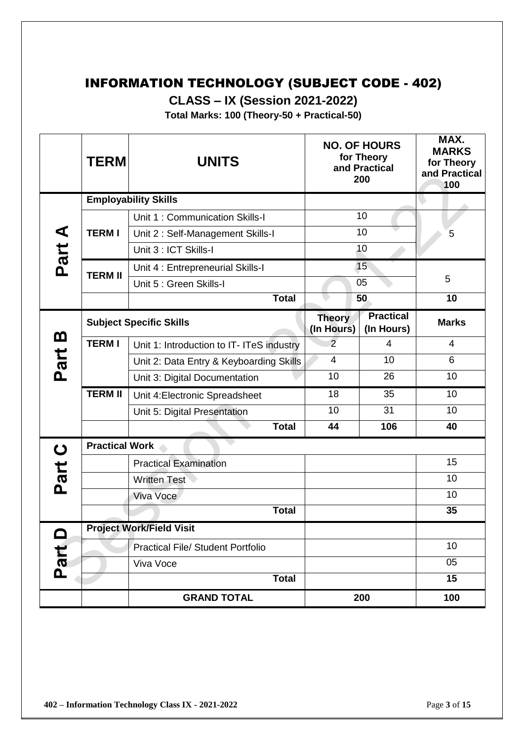### INFORMATION TECHNOLOGY (SUBJECT CODE - 402)

**CLASS – IX (Session 2021-2022)** 

**Total Marks: 100 (Theory-50 + Practical-50)** 

|                | <b>TERM</b>           | <b>UNITS</b>                              |                             | <b>NO. OF HOURS</b><br>for Theory<br>and Practical<br>200 | MAX.<br><b>MARKS</b><br>for Theory<br>and Practical<br>100 |
|----------------|-----------------------|-------------------------------------------|-----------------------------|-----------------------------------------------------------|------------------------------------------------------------|
|                |                       | <b>Employability Skills</b>               |                             |                                                           |                                                            |
|                |                       | Unit 1: Communication Skills-I            |                             | 10                                                        |                                                            |
|                | <b>TERMI</b>          | Unit 2: Self-Management Skills-I          |                             | 10                                                        | 5                                                          |
|                |                       | Unit 3 : ICT Skills-I                     |                             | 10                                                        |                                                            |
| Part A         | <b>TERM II</b>        | Unit 4 : Entrepreneurial Skills-I         |                             | 15                                                        |                                                            |
|                |                       | Unit 5 : Green Skills-I                   |                             | 05                                                        | 5                                                          |
|                |                       | <b>Total</b>                              |                             | 50                                                        | 10                                                         |
|                |                       | <b>Subject Specific Skills</b>            | <b>Theory</b><br>(In Hours) | <b>Practical</b><br>(In Hours)                            | <b>Marks</b>                                               |
| <u>ന</u>       | <b>TERMI</b>          | Unit 1: Introduction to IT- ITeS industry | $\overline{2}$              | 4                                                         | $\overline{\mathcal{A}}$                                   |
| Part           |                       | Unit 2: Data Entry & Keyboarding Skills   | $\overline{4}$              | 10                                                        | 6                                                          |
|                |                       | Unit 3: Digital Documentation             | 10                          | 26                                                        | 10                                                         |
|                | <b>TERM II</b>        | Unit 4: Electronic Spreadsheet            | 18                          | 35                                                        | 10                                                         |
|                |                       | Unit 5: Digital Presentation              | 10                          | 31                                                        | 10                                                         |
|                |                       | <b>Total</b>                              | 44                          | 106                                                       | 40                                                         |
| $\mathbf C$    | <b>Practical Work</b> |                                           |                             |                                                           |                                                            |
|                |                       | <b>Practical Examination</b>              |                             |                                                           | 15                                                         |
| Part           |                       | <b>Written Test</b>                       |                             |                                                           | 10                                                         |
|                |                       | Viva Voce                                 |                             |                                                           | 10                                                         |
|                |                       | <b>Total</b>                              |                             |                                                           | 35                                                         |
| $\blacksquare$ |                       | <b>Project Work/Field Visit</b>           |                             |                                                           |                                                            |
|                |                       | <b>Practical File/ Student Portfolio</b>  |                             |                                                           | 10                                                         |
| Part           |                       | Viva Voce                                 |                             |                                                           | 05                                                         |
|                |                       | <b>Total</b>                              |                             |                                                           | 15                                                         |
|                |                       | <b>GRAND TOTAL</b>                        |                             | 200                                                       | 100                                                        |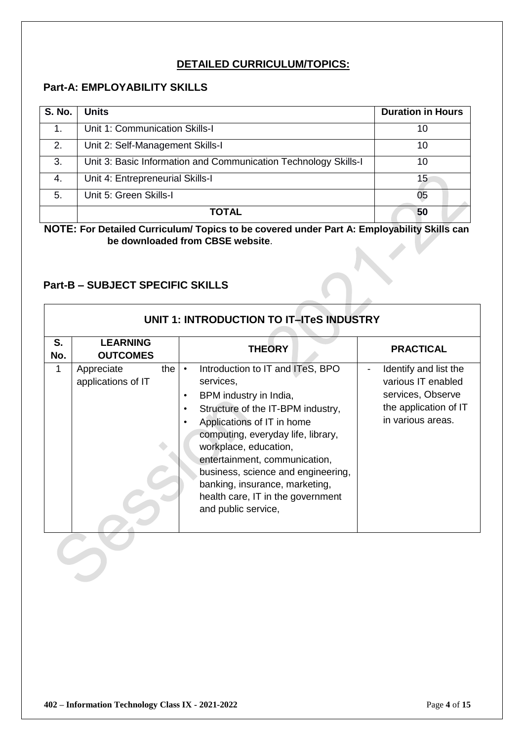### **DETAILED CURRICULUM/TOPICS:**

### **Part-A: EMPLOYABILITY SKILLS**

| <b>S. No.</b> | <b>Units</b>                                                    | <b>Duration in Hours</b> |
|---------------|-----------------------------------------------------------------|--------------------------|
| 1.            | Unit 1: Communication Skills-I                                  | 10                       |
| 2.            | Unit 2: Self-Management Skills-I                                | 10                       |
| 3.            | Unit 3: Basic Information and Communication Technology Skills-I | 10                       |
| 4.            | Unit 4: Entrepreneurial Skills-I                                | 15                       |
| 5.            | Unit 5: Green Skills-I                                          | 05                       |
|               | TOTAL                                                           | 50                       |

**NOTE: For Detailed Curriculum/ Topics to be covered under Part A: Employability Skills can be downloaded from CBSE website**.

### **Part-B – SUBJECT SPECIFIC SKILLS**

|           | UNIT 1: INTRODUCTION TO IT-ITeS INDUSTRY |                                                                                                                                                                                                                                                                                                                                                                                                                       |                                                                                                                |  |  |
|-----------|------------------------------------------|-----------------------------------------------------------------------------------------------------------------------------------------------------------------------------------------------------------------------------------------------------------------------------------------------------------------------------------------------------------------------------------------------------------------------|----------------------------------------------------------------------------------------------------------------|--|--|
| S.<br>No. | <b>LEARNING</b><br><b>OUTCOMES</b>       | <b>THEORY</b>                                                                                                                                                                                                                                                                                                                                                                                                         | <b>PRACTICAL</b>                                                                                               |  |  |
| 1         | the<br>Appreciate<br>applications of IT  | Introduction to IT and ITeS, BPO<br>$\bullet$<br>services,<br>BPM industry in India,<br>$\bullet$<br>Structure of the IT-BPM industry,<br>$\bullet$<br>Applications of IT in home<br>computing, everyday life, library,<br>workplace, education,<br>entertainment, communication,<br>business, science and engineering,<br>banking, insurance, marketing,<br>health care, IT in the government<br>and public service, | Identify and list the<br>various IT enabled<br>services, Observe<br>the application of IT<br>in various areas. |  |  |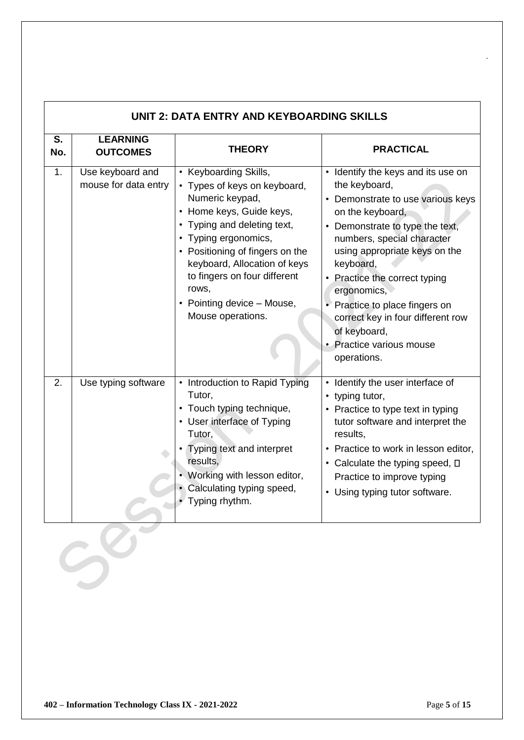| <b>PRACTICAL</b>                                                                                                                                                                                                                                                                                                                                                                                        |
|---------------------------------------------------------------------------------------------------------------------------------------------------------------------------------------------------------------------------------------------------------------------------------------------------------------------------------------------------------------------------------------------------------|
|                                                                                                                                                                                                                                                                                                                                                                                                         |
| Identify the keys and its use on<br>the keyboard,<br>Demonstrate to use various keys<br>on the keyboard,<br>• Demonstrate to type the text,<br>numbers, special character<br>using appropriate keys on the<br>keyboard,<br>Practice the correct typing<br>ergonomics,<br>• Practice to place fingers on<br>correct key in four different row<br>of keyboard,<br>• Practice various mouse<br>operations. |
| Identify the user interface of<br>• typing tutor,<br>Practice to type text in typing<br>tutor software and interpret the<br>results,<br>• Practice to work in lesson editor,<br>• Calculate the typing speed, $\square$<br>Practice to improve typing<br>• Using typing tutor software.                                                                                                                 |
|                                                                                                                                                                                                                                                                                                                                                                                                         |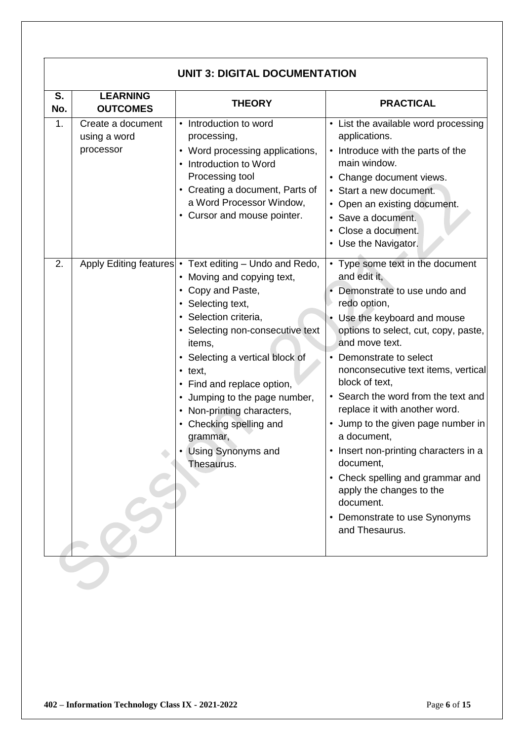|           | <b>UNIT 3: DIGITAL DOCUMENTATION</b>           |                                                                                                                                                                                                                                                                                                                                                                                                                                     |                                                                                                                                                                                                                                                                                                                                                                                                                                                                                                                                                                                                  |  |  |
|-----------|------------------------------------------------|-------------------------------------------------------------------------------------------------------------------------------------------------------------------------------------------------------------------------------------------------------------------------------------------------------------------------------------------------------------------------------------------------------------------------------------|--------------------------------------------------------------------------------------------------------------------------------------------------------------------------------------------------------------------------------------------------------------------------------------------------------------------------------------------------------------------------------------------------------------------------------------------------------------------------------------------------------------------------------------------------------------------------------------------------|--|--|
| S.<br>No. | <b>LEARNING</b><br><b>OUTCOMES</b>             | <b>THEORY</b>                                                                                                                                                                                                                                                                                                                                                                                                                       | <b>PRACTICAL</b>                                                                                                                                                                                                                                                                                                                                                                                                                                                                                                                                                                                 |  |  |
| 1.        | Create a document<br>using a word<br>processor | • Introduction to word<br>processing,<br>• Word processing applications,<br>• Introduction to Word<br>Processing tool<br>• Creating a document, Parts of<br>a Word Processor Window,<br>• Cursor and mouse pointer.                                                                                                                                                                                                                 | • List the available word processing<br>applications.<br>• Introduce with the parts of the<br>main window.<br>• Change document views.<br>• Start a new document.<br>• Open an existing document.<br>• Save a document.<br>• Close a document.<br>• Use the Navigator.                                                                                                                                                                                                                                                                                                                           |  |  |
| 2.        |                                                | Apply Editing features • Text editing - Undo and Redo,<br>• Moving and copying text,<br>• Copy and Paste,<br>• Selecting text,<br>· Selection criteria,<br>• Selecting non-consecutive text<br>items,<br>• Selecting a vertical block of<br>$\cdot$ text,<br>• Find and replace option,<br>• Jumping to the page number,<br>• Non-printing characters,<br>• Checking spelling and<br>grammar,<br>• Using Synonyms and<br>Thesaurus. | • Type some text in the document<br>and edit it,<br>Demonstrate to use undo and<br>redo option,<br>• Use the keyboard and mouse<br>options to select, cut, copy, paste,<br>and move text.<br>• Demonstrate to select<br>nonconsecutive text items, vertical<br>block of text,<br>• Search the word from the text and<br>replace it with another word.<br>• Jump to the given page number in<br>a document,<br>• Insert non-printing characters in a<br>document,<br>• Check spelling and grammar and<br>apply the changes to the<br>document.<br>• Demonstrate to use Synonyms<br>and Thesaurus. |  |  |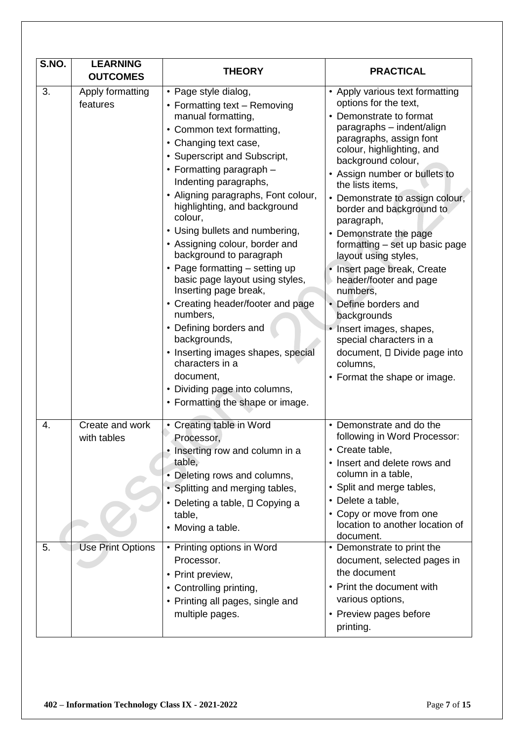| S.NO.    | <b>LEARNING</b><br><b>OUTCOMES</b>                         | <b>THEORY</b>                                                                                                                                                                                                                                                                                                                                                                                                                                                                                                                                                                                                                                                                                                                              | <b>PRACTICAL</b>                                                                                                                                                                                                                                                                                                                                                                                                                                                                                                                                                                                                                                                    |
|----------|------------------------------------------------------------|--------------------------------------------------------------------------------------------------------------------------------------------------------------------------------------------------------------------------------------------------------------------------------------------------------------------------------------------------------------------------------------------------------------------------------------------------------------------------------------------------------------------------------------------------------------------------------------------------------------------------------------------------------------------------------------------------------------------------------------------|---------------------------------------------------------------------------------------------------------------------------------------------------------------------------------------------------------------------------------------------------------------------------------------------------------------------------------------------------------------------------------------------------------------------------------------------------------------------------------------------------------------------------------------------------------------------------------------------------------------------------------------------------------------------|
| 3.       | Apply formatting<br>features                               | • Page style dialog,<br>• Formatting text - Removing<br>manual formatting,<br>• Common text formatting,<br>• Changing text case,<br>• Superscript and Subscript,<br>• Formatting paragraph -<br>Indenting paragraphs,<br>• Aligning paragraphs, Font colour,<br>highlighting, and background<br>colour,<br>• Using bullets and numbering,<br>• Assigning colour, border and<br>background to paragraph<br>• Page formatting – setting up<br>basic page layout using styles,<br>Inserting page break,<br>• Creating header/footer and page<br>numbers.<br>• Defining borders and<br>backgrounds,<br>• Inserting images shapes, special<br>characters in a<br>document,<br>• Dividing page into columns,<br>• Formatting the shape or image. | • Apply various text formatting<br>options for the text,<br>• Demonstrate to format<br>paragraphs - indent/align<br>paragraphs, assign font<br>colour, highlighting, and<br>background colour,<br>• Assign number or bullets to<br>the lists items,<br>• Demonstrate to assign colour,<br>border and background to<br>paragraph,<br>• Demonstrate the page<br>formatting - set up basic page<br>layout using styles,<br>• Insert page break, Create<br>header/footer and page<br>numbers,<br>• Define borders and<br>backgrounds<br>• Insert images, shapes,<br>special characters in a<br>document, □ Divide page into<br>columns,<br>• Format the shape or image. |
| 4.<br>5. | Create and work<br>with tables<br><b>Use Print Options</b> | Creating table in Word<br>$\bullet$<br>Processor,<br>Inserting row and column in a<br>table,<br>• Deleting rows and columns,<br>• Splitting and merging tables,<br>• Deleting a table, D Copying a<br>table.<br>• Moving a table.<br>• Printing options in Word<br>Processor.<br>• Print preview,<br>• Controlling printing,<br>• Printing all pages, single and<br>multiple pages.                                                                                                                                                                                                                                                                                                                                                        | • Demonstrate and do the<br>following in Word Processor:<br>Create table,<br>• Insert and delete rows and<br>column in a table,<br>• Split and merge tables,<br>• Delete a table,<br>• Copy or move from one<br>location to another location of<br>document.<br>• Demonstrate to print the<br>document, selected pages in<br>the document<br>• Print the document with<br>various options,<br>• Preview pages before<br>printing.                                                                                                                                                                                                                                   |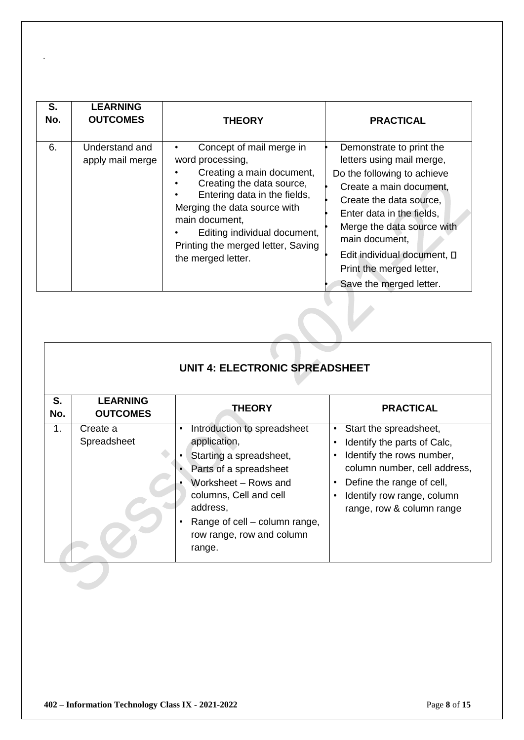| S.<br>No. | <b>LEARNING</b><br><b>OUTCOMES</b> | <b>THEORY</b>                                                                                                                                                                                                                                                                        | <b>PRACTICAL</b>                                                                                                                                                                                                                                                                                              |
|-----------|------------------------------------|--------------------------------------------------------------------------------------------------------------------------------------------------------------------------------------------------------------------------------------------------------------------------------------|---------------------------------------------------------------------------------------------------------------------------------------------------------------------------------------------------------------------------------------------------------------------------------------------------------------|
| 6.        | Understand and<br>apply mail merge | Concept of mail merge in<br>word processing,<br>Creating a main document,<br>Creating the data source,<br>Entering data in the fields,<br>Merging the data source with<br>main document,<br>Editing individual document,<br>Printing the merged letter, Saving<br>the merged letter. | Demonstrate to print the<br>letters using mail merge,<br>Do the following to achieve<br>Create a main document,<br>Create the data source,<br>Enter data in the fields,<br>Merge the data source with<br>main document,<br>Edit individual document, D<br>Print the merged letter,<br>Save the merged letter. |

|           | <b>UNIT 4: ELECTRONIC SPREADSHEET</b> |                                                                                                                                                                                                                                        |                                                                                                                                                                                                                                                                             |  |  |
|-----------|---------------------------------------|----------------------------------------------------------------------------------------------------------------------------------------------------------------------------------------------------------------------------------------|-----------------------------------------------------------------------------------------------------------------------------------------------------------------------------------------------------------------------------------------------------------------------------|--|--|
| S.<br>No. | <b>LEARNING</b><br><b>OUTCOMES</b>    | <b>THEORY</b>                                                                                                                                                                                                                          | <b>PRACTICAL</b>                                                                                                                                                                                                                                                            |  |  |
| 1.        | Create a<br>Spreadsheet               | Introduction to spreadsheet<br>application,<br>Starting a spreadsheet,<br>Parts of a spreadsheet<br>Worksheet - Rows and<br>columns, Cell and cell<br>address,<br>Range of cell – column range,<br>row range, row and column<br>range. | Start the spreadsheet,<br>$\bullet$<br>Identify the parts of Calc,<br>$\bullet$<br>Identify the rows number,<br>$\bullet$<br>column number, cell address,<br>Define the range of cell,<br>$\bullet$<br>Identify row range, column<br>$\bullet$<br>range, row & column range |  |  |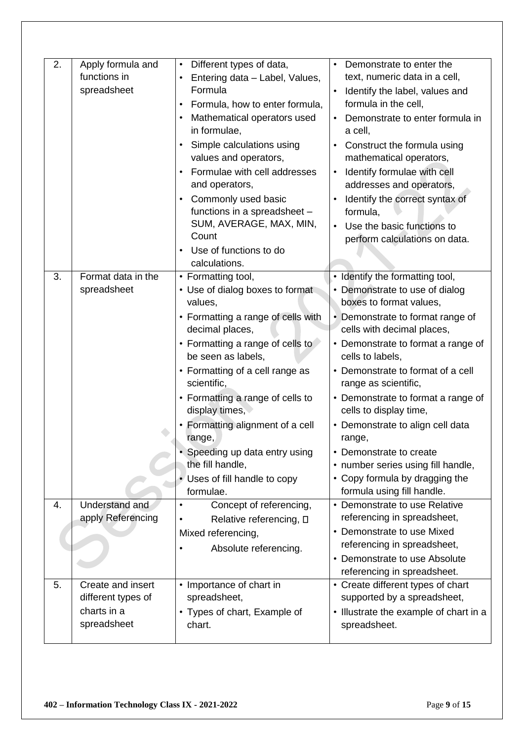| 2. | Apply formula and<br>functions in<br>spreadsheet                      | Different types of data,<br>$\bullet$<br>Entering data - Label, Values,<br>Formula<br>Formula, how to enter formula,<br>$\bullet$<br>Mathematical operators used                                                                                                                                                                                                                                                                              | Demonstrate to enter the<br>text, numeric data in a cell,<br>Identify the label, values and<br>$\bullet$<br>formula in the cell,<br>Demonstrate to enter formula in                                                                                                                                                                                                                                                                                                                                                                  |
|----|-----------------------------------------------------------------------|-----------------------------------------------------------------------------------------------------------------------------------------------------------------------------------------------------------------------------------------------------------------------------------------------------------------------------------------------------------------------------------------------------------------------------------------------|--------------------------------------------------------------------------------------------------------------------------------------------------------------------------------------------------------------------------------------------------------------------------------------------------------------------------------------------------------------------------------------------------------------------------------------------------------------------------------------------------------------------------------------|
|    |                                                                       | in formulae,<br>Simple calculations using<br>$\bullet$<br>values and operators,<br>Formulae with cell addresses<br>and operators,<br>Commonly used basic<br>functions in a spreadsheet -<br>SUM, AVERAGE, MAX, MIN,<br>Count<br>Use of functions to do<br>$\bullet$<br>calculations.                                                                                                                                                          | a cell,<br>Construct the formula using<br>$\bullet$<br>mathematical operators,<br>Identify formulae with cell<br>$\bullet$<br>addresses and operators,<br>Identify the correct syntax of<br>formula,<br>Use the basic functions to<br>perform calculations on data.                                                                                                                                                                                                                                                                  |
| 3. | Format data in the<br>spreadsheet                                     | • Formatting tool,<br>• Use of dialog boxes to format<br>values,<br>• Formatting a range of cells with<br>decimal places,<br>• Formatting a range of cells to<br>be seen as labels,<br>• Formatting of a cell range as<br>scientific,<br>• Formatting a range of cells to<br>display times,<br>• Formatting alignment of a cell<br>range,<br>• Speeding up data entry using<br>the fill handle,<br>• Uses of fill handle to copy<br>formulae. | • Identify the formatting tool,<br>• Demonstrate to use of dialog<br>boxes to format values.<br>• Demonstrate to format range of<br>cells with decimal places,<br>• Demonstrate to format a range of<br>cells to labels,<br>• Demonstrate to format of a cell<br>range as scientific,<br>• Demonstrate to format a range of<br>cells to display time,<br>• Demonstrate to align cell data<br>range,<br>• Demonstrate to create<br>• number series using fill handle,<br>• Copy formula by dragging the<br>formula using fill handle. |
| 4. | Understand and<br>apply Referencing                                   | Concept of referencing,<br>Relative referencing, □<br>Mixed referencing,<br>Absolute referencing.                                                                                                                                                                                                                                                                                                                                             | • Demonstrate to use Relative<br>referencing in spreadsheet,<br>• Demonstrate to use Mixed<br>referencing in spreadsheet,<br>• Demonstrate to use Absolute<br>referencing in spreadsheet.                                                                                                                                                                                                                                                                                                                                            |
| 5. | Create and insert<br>different types of<br>charts in a<br>spreadsheet | • Importance of chart in<br>spreadsheet,<br>• Types of chart, Example of<br>chart.                                                                                                                                                                                                                                                                                                                                                            | • Create different types of chart<br>supported by a spreadsheet,<br>• Illustrate the example of chart in a<br>spreadsheet.                                                                                                                                                                                                                                                                                                                                                                                                           |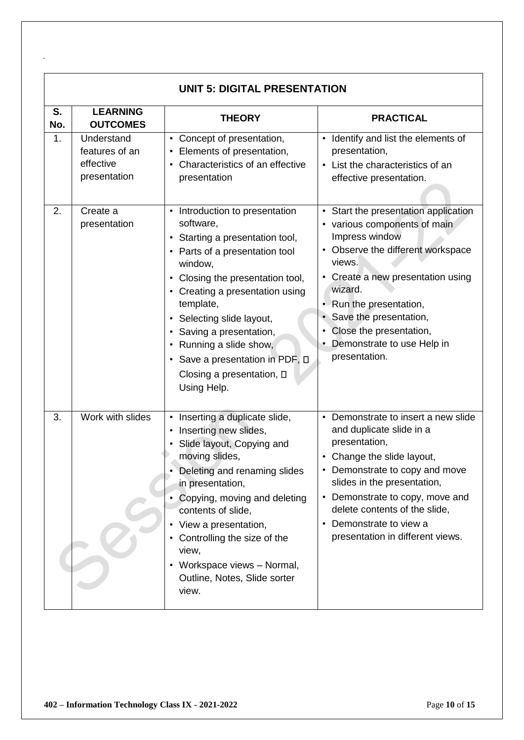|           | <b>UNIT 5: DIGITAL PRESENTATION</b>                       |                                                                                                                                                                                                                                                                                                                                                                                                                          |                                                                                                                                                                                                                                                                                                                             |  |  |
|-----------|-----------------------------------------------------------|--------------------------------------------------------------------------------------------------------------------------------------------------------------------------------------------------------------------------------------------------------------------------------------------------------------------------------------------------------------------------------------------------------------------------|-----------------------------------------------------------------------------------------------------------------------------------------------------------------------------------------------------------------------------------------------------------------------------------------------------------------------------|--|--|
| S.<br>No. | <b>LEARNING</b><br><b>OUTCOMES</b>                        | <b>THEORY</b>                                                                                                                                                                                                                                                                                                                                                                                                            | <b>PRACTICAL</b>                                                                                                                                                                                                                                                                                                            |  |  |
| 1.        | Understand<br>features of an<br>effective<br>presentation | • Concept of presentation,<br>Elements of presentation,<br>$\bullet$<br>Characteristics of an effective<br>$\bullet$<br>presentation                                                                                                                                                                                                                                                                                     | • Identify and list the elements of<br>presentation,<br>• List the characteristics of an<br>effective presentation.                                                                                                                                                                                                         |  |  |
| 2.        | Create a<br>presentation                                  | • Introduction to presentation<br>software,<br>Starting a presentation tool,<br>$\bullet$<br>Parts of a presentation tool<br>window,<br>Closing the presentation tool,<br>$\bullet$<br>Creating a presentation using<br>template,<br>Selecting slide layout,<br>٠<br>Saving a presentation,<br>$\bullet$<br>Running a slide show,<br>• Save a presentation in PDF, $\square$<br>Closing a presentation, □<br>Using Help. | • Start the presentation application<br>• various components of main<br>Impress window<br>• Observe the different workspace<br>views.<br>• Create a new presentation using<br>wizard.<br>• Run the presentation,<br>Save the presentation,<br>Close the presentation,<br>Demonstrate to use Help in<br>presentation.        |  |  |
| 3.        | Work with slides                                          | Inserting a duplicate slide,<br>$\bullet$<br>Inserting new slides,<br>Slide layout, Copying and<br>moving slides,<br>Deleting and renaming slides<br>in presentation,<br>Copying, moving and deleting<br>contents of slide,<br>View a presentation,<br>$\bullet$<br>Controlling the size of the<br>$\bullet$<br>view,<br>Workspace views - Normal,<br>$\bullet$<br>Outline, Notes, Slide sorter<br>view.                 | • Demonstrate to insert a new slide<br>and duplicate slide in a<br>presentation,<br>• Change the slide layout,<br>• Demonstrate to copy and move<br>slides in the presentation,<br>Demonstrate to copy, move and<br>$\bullet$<br>delete contents of the slide,<br>Demonstrate to view a<br>presentation in different views. |  |  |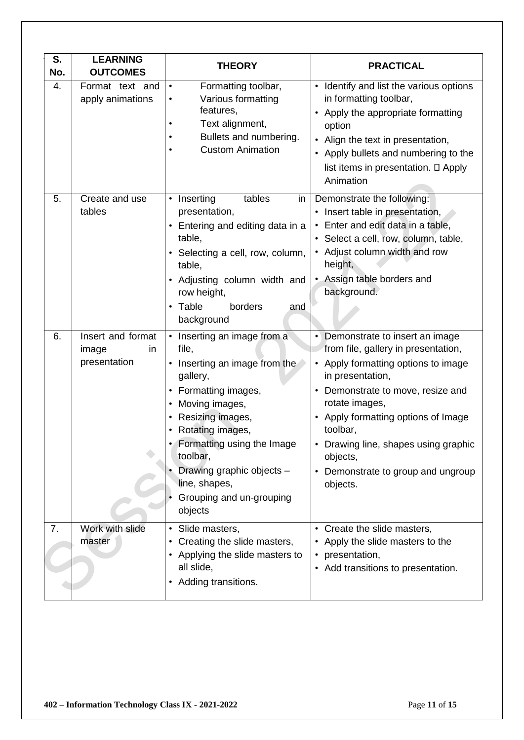| S.<br>No. | <b>LEARNING</b><br><b>OUTCOMES</b>               | <b>THEORY</b>                                                                                                                                                                                                                                                                                                          | <b>PRACTICAL</b>                                                                                                                                                                                                                                                                                                                                            |
|-----------|--------------------------------------------------|------------------------------------------------------------------------------------------------------------------------------------------------------------------------------------------------------------------------------------------------------------------------------------------------------------------------|-------------------------------------------------------------------------------------------------------------------------------------------------------------------------------------------------------------------------------------------------------------------------------------------------------------------------------------------------------------|
| 4.        | Format text and<br>apply animations              | Formatting toolbar,<br>$\bullet$<br>Various formatting<br>$\bullet$<br>features,<br>Text alignment,<br>$\bullet$<br>Bullets and numbering.<br>٠<br><b>Custom Animation</b><br>$\bullet$                                                                                                                                | • Identify and list the various options<br>in formatting toolbar,<br>• Apply the appropriate formatting<br>option<br>• Align the text in presentation,<br>• Apply bullets and numbering to the<br>list items in presentation. D Apply<br>Animation                                                                                                          |
| 5.        | Create and use<br>tables                         | tables<br>Inserting<br>$\bullet$<br>in<br>presentation,<br>Entering and editing data in a<br>$\bullet$<br>table,<br>Selecting a cell, row, column,<br>$\bullet$<br>table,<br>Adjusting column width and<br>$\bullet$<br>row height,<br>borders<br>Table<br>and<br>$\bullet$<br>background                              | Demonstrate the following:<br>• Insert table in presentation,<br>• Enter and edit data in a table,<br>· Select a cell, row, column, table,<br>• Adjust column width and row<br>height,<br>• Assign table borders and<br>background.                                                                                                                         |
| 6.        | Insert and format<br>image<br>in<br>presentation | Inserting an image from a<br>$\bullet$<br>file,<br>Inserting an image from the<br>$\bullet$<br>gallery,<br>Formatting images,<br>Moving images,<br>Resizing images,<br>Rotating images,<br>Formatting using the Image<br>toolbar,<br>Drawing graphic objects -<br>line, shapes,<br>Grouping and un-grouping<br>objects | Demonstrate to insert an image<br>$\bullet$<br>from file, gallery in presentation,<br>• Apply formatting options to image<br>in presentation,<br>Demonstrate to move, resize and<br>rotate images,<br>• Apply formatting options of Image<br>toolbar,<br>• Drawing line, shapes using graphic<br>objects,<br>• Demonstrate to group and ungroup<br>objects. |
| 7.        | Work with slide<br>master                        | • Slide masters,<br>Creating the slide masters,<br>$\bullet$<br>Applying the slide masters to<br>all slide,<br>• Adding transitions.                                                                                                                                                                                   | • Create the slide masters,<br>• Apply the slide masters to the<br>• presentation,<br>• Add transitions to presentation.                                                                                                                                                                                                                                    |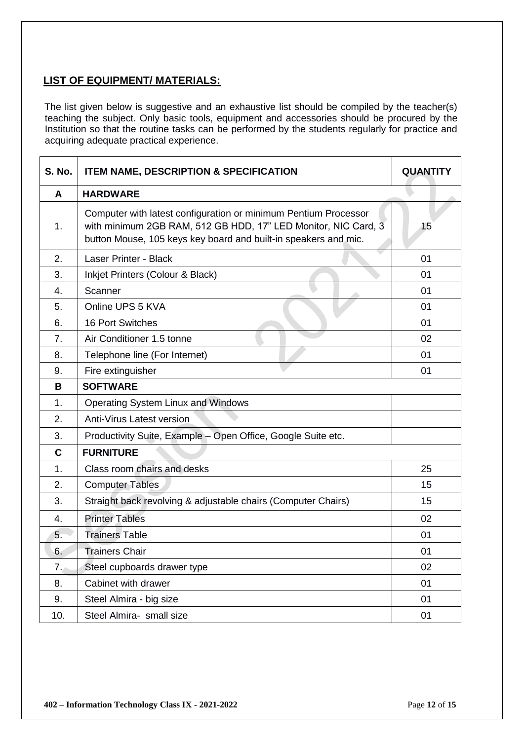### **LIST OF EQUIPMENT/ MATERIALS:**

The list given below is suggestive and an exhaustive list should be compiled by the teacher(s) teaching the subject. Only basic tools, equipment and accessories should be procured by the Institution so that the routine tasks can be performed by the students regularly for practice and acquiring adequate practical experience.

| <b>S. No.</b> | <b>ITEM NAME, DESCRIPTION &amp; SPECIFICATION</b>                                                                                                                                                    | <b>QUANTITY</b> |
|---------------|------------------------------------------------------------------------------------------------------------------------------------------------------------------------------------------------------|-----------------|
| A             | <b>HARDWARE</b>                                                                                                                                                                                      |                 |
| 1.            | Computer with latest configuration or minimum Pentium Processor<br>with minimum 2GB RAM, 512 GB HDD, 17" LED Monitor, NIC Card, 3<br>button Mouse, 105 keys key board and built-in speakers and mic. | 15              |
| 2.            | <b>Laser Printer - Black</b>                                                                                                                                                                         | 01              |
| 3.            | Inkjet Printers (Colour & Black)                                                                                                                                                                     | 01              |
| 4.            | Scanner                                                                                                                                                                                              | 01              |
| 5.            | Online UPS 5 KVA                                                                                                                                                                                     | 01              |
| 6.            | <b>16 Port Switches</b>                                                                                                                                                                              | 01              |
| 7.            | Air Conditioner 1.5 tonne                                                                                                                                                                            | 02              |
| 8.            | Telephone line (For Internet)                                                                                                                                                                        | 01              |
| 9.            | Fire extinguisher                                                                                                                                                                                    | 01              |
| B             | <b>SOFTWARE</b>                                                                                                                                                                                      |                 |
| 1.            | Operating System Linux and Windows                                                                                                                                                                   |                 |
| 2.            | Anti-Virus Latest version                                                                                                                                                                            |                 |
| 3.            | Productivity Suite, Example - Open Office, Google Suite etc.                                                                                                                                         |                 |
| $\mathbf c$   | <b>FURNITURE</b>                                                                                                                                                                                     |                 |
| 1.            | Class room chairs and desks                                                                                                                                                                          | 25              |
| 2.            | <b>Computer Tables</b>                                                                                                                                                                               | 15              |
| 3.            | Straight back revolving & adjustable chairs (Computer Chairs)                                                                                                                                        | 15              |
| 4.            | <b>Printer Tables</b>                                                                                                                                                                                | 02              |
| 5.            | <b>Trainers Table</b>                                                                                                                                                                                | 01              |
| 6.            | <b>Trainers Chair</b>                                                                                                                                                                                | 01              |
| 7.7           | Steel cupboards drawer type                                                                                                                                                                          | 02              |
| 8.            | Cabinet with drawer                                                                                                                                                                                  | 01              |
| 9.            | Steel Almira - big size                                                                                                                                                                              | 01              |
| 10.           | Steel Almira- small size                                                                                                                                                                             | 01              |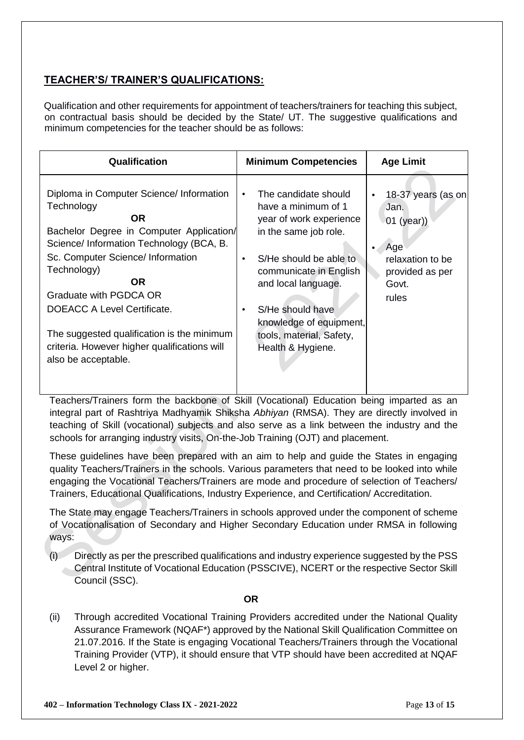### **TEACHER'S/ TRAINER'S QUALIFICATIONS:**

Qualification and other requirements for appointment of teachers/trainers for teaching this subject, on contractual basis should be decided by the State/ UT. The suggestive qualifications and minimum competencies for the teacher should be as follows:

| Qualification                                                                                                                                                                                                                                                                                                                                                                                  | <b>Minimum Competencies</b>                                                                                                                                                                                                                                                                                       | <b>Age Limit</b>                                                                                           |
|------------------------------------------------------------------------------------------------------------------------------------------------------------------------------------------------------------------------------------------------------------------------------------------------------------------------------------------------------------------------------------------------|-------------------------------------------------------------------------------------------------------------------------------------------------------------------------------------------------------------------------------------------------------------------------------------------------------------------|------------------------------------------------------------------------------------------------------------|
| Diploma in Computer Science/ Information<br>Technology<br>OR.<br>Bachelor Degree in Computer Application/<br>Science/ Information Technology (BCA, B.<br>Sc. Computer Science/ Information<br>Technology)<br>OR.<br>Graduate with PGDCA OR<br>DOEACC A Level Certificate.<br>The suggested qualification is the minimum<br>criteria. However higher qualifications will<br>also be acceptable. | The candidate should<br>$\bullet$<br>have a minimum of 1<br>year of work experience<br>in the same job role.<br>S/He should be able to<br>$\bullet$<br>communicate in English<br>and local language.<br>S/He should have<br>$\bullet$<br>knowledge of equipment,<br>tools, material, Safety,<br>Health & Hygiene. | 18-37 years (as on<br>Jan.<br>$01$ (year))<br>Age<br>relaxation to be<br>provided as per<br>Govt.<br>rules |

Teachers/Trainers form the backbone of Skill (Vocational) Education being imparted as an integral part of Rashtriya Madhyamik Shiksha *Abhiyan* (RMSA). They are directly involved in teaching of Skill (vocational) subjects and also serve as a link between the industry and the schools for arranging industry visits, On-the-Job Training (OJT) and placement.

These guidelines have been prepared with an aim to help and guide the States in engaging quality Teachers/Trainers in the schools. Various parameters that need to be looked into while engaging the Vocational Teachers/Trainers are mode and procedure of selection of Teachers/ Trainers, Educational Qualifications, Industry Experience, and Certification/ Accreditation.

The State may engage Teachers/Trainers in schools approved under the component of scheme of Vocationalisation of Secondary and Higher Secondary Education under RMSA in following ways:

(i) Directly as per the prescribed qualifications and industry experience suggested by the PSS Central Institute of Vocational Education (PSSCIVE), NCERT or the respective Sector Skill Council (SSC).

#### **OR**

(ii) Through accredited Vocational Training Providers accredited under the National Quality Assurance Framework (NQAF\*) approved by the National Skill Qualification Committee on 21.07.2016. If the State is engaging Vocational Teachers/Trainers through the Vocational Training Provider (VTP), it should ensure that VTP should have been accredited at NQAF Level 2 or higher.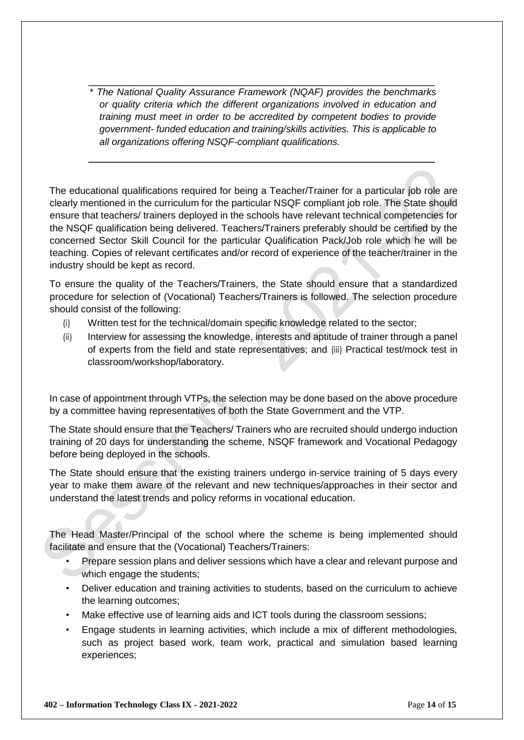\* *The National Quality Assurance Framework (NQAF) provides the benchmarks or quality criteria which the different organizations involved in education and training must meet in order to be accredited by competent bodies to provide government- funded education and training/skills activities. This is applicable to all organizations offering NSQF-compliant qualifications.* 

The educational qualifications required for being a Teacher/Trainer for a particular job role are clearly mentioned in the curriculum for the particular NSQF compliant job role. The State should ensure that teachers/ trainers deployed in the schools have relevant technical competencies for the NSQF qualification being delivered. Teachers/Trainers preferably should be certified by the concerned Sector Skill Council for the particular Qualification Pack/Job role which he will be teaching. Copies of relevant certificates and/or record of experience of the teacher/trainer in the industry should be kept as record.

To ensure the quality of the Teachers/Trainers, the State should ensure that a standardized procedure for selection of (Vocational) Teachers/Trainers is followed. The selection procedure should consist of the following:

- (i) Written test for the technical/domain specific knowledge related to the sector;
- (ii) Interview for assessing the knowledge, interests and aptitude of trainer through a panel of experts from the field and state representatives; and (iii) Practical test/mock test in classroom/workshop/laboratory.

In case of appointment through VTPs, the selection may be done based on the above procedure by a committee having representatives of both the State Government and the VTP.

The State should ensure that the Teachers/ Trainers who are recruited should undergo induction training of 20 days for understanding the scheme, NSQF framework and Vocational Pedagogy before being deployed in the schools.

The State should ensure that the existing trainers undergo in-service training of 5 days every year to make them aware of the relevant and new techniques/approaches in their sector and understand the latest trends and policy reforms in vocational education.

The Head Master/Principal of the school where the scheme is being implemented should facilitate and ensure that the (Vocational) Teachers/Trainers:

- Prepare session plans and deliver sessions which have a clear and relevant purpose and which engage the students;
- Deliver education and training activities to students, based on the curriculum to achieve the learning outcomes;
- Make effective use of learning aids and ICT tools during the classroom sessions;
- Engage students in learning activities, which include a mix of different methodologies, such as project based work, team work, practical and simulation based learning experiences;